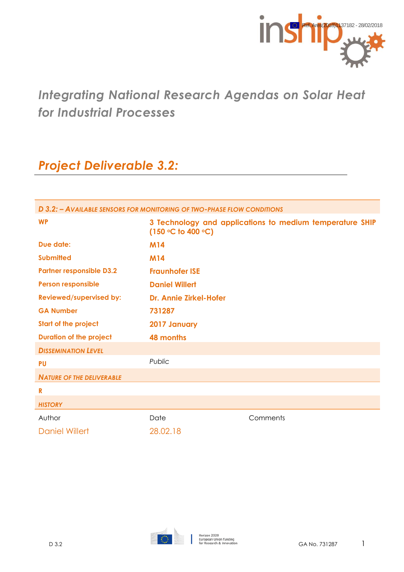

# *Integrating National Research Agendas on Solar Heat for Industrial Processes*

# *Project Deliverable 3.2:*

| D 3.2: - AVAILABLE SENSORS FOR MONITORING OF TWO-PHASE FLOW CONDITIONS |                               |                                                          |  |  |  |
|------------------------------------------------------------------------|-------------------------------|----------------------------------------------------------|--|--|--|
| <b>WP</b>                                                              | $(150 °C)$ to 400 °C)         | 3 Technology and applications to medium temperature SHIP |  |  |  |
| Due date:                                                              | <b>M14</b>                    |                                                          |  |  |  |
| <b>Submitted</b>                                                       | <b>M14</b>                    |                                                          |  |  |  |
| <b>Partner responsible D3.2</b>                                        | <b>Fraunhofer ISE</b>         |                                                          |  |  |  |
| <b>Person responsible</b>                                              | <b>Daniel Willert</b>         |                                                          |  |  |  |
| <b>Reviewed/supervised by:</b>                                         | <b>Dr. Annie Zirkel-Hofer</b> |                                                          |  |  |  |
| <b>GA Number</b>                                                       | 731287                        |                                                          |  |  |  |
| <b>Start of the project</b>                                            | <b>2017 January</b>           |                                                          |  |  |  |
| <b>Duration of the project</b>                                         | <b>48 months</b>              |                                                          |  |  |  |
| <b>DISSEMINATION LEVEL</b>                                             |                               |                                                          |  |  |  |
| <b>PU</b>                                                              | Public                        |                                                          |  |  |  |
| <b>NATURE OF THE DELIVERABLE</b>                                       |                               |                                                          |  |  |  |
| R                                                                      |                               |                                                          |  |  |  |
| <b>HISTORY</b>                                                         |                               |                                                          |  |  |  |
| Author                                                                 | Date                          | Comments                                                 |  |  |  |
| <b>Daniel Willert</b>                                                  | 28.02.18                      |                                                          |  |  |  |
|                                                                        |                               |                                                          |  |  |  |

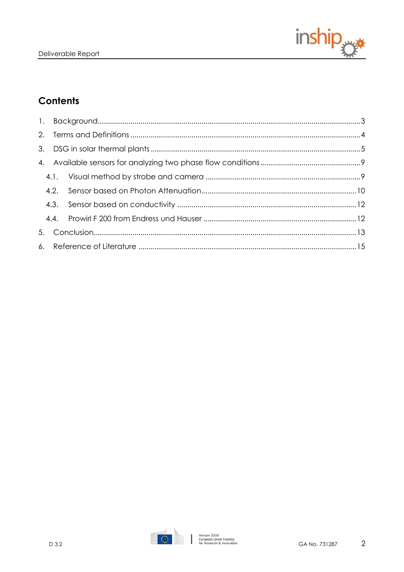

# **Contents**

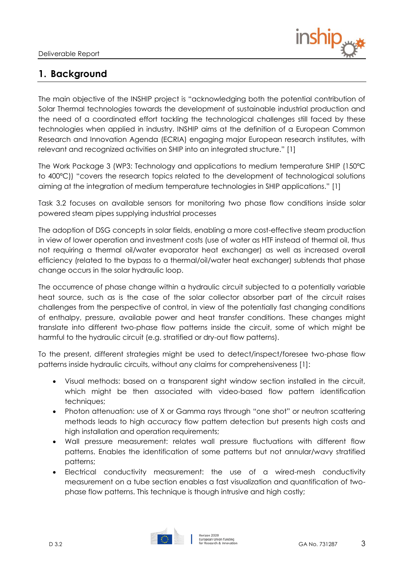

# <span id="page-2-0"></span>**1. Background**

The main objective of the INSHIP project is "acknowledging both the potential contribution of Solar Thermal technologies towards the development of sustainable industrial production and the need of a coordinated effort tackling the technological challenges still faced by these technologies when applied in industry. INSHIP aims at the definition of a European Common Research and Innovation Agenda (ECRIA) engaging major European research institutes, with relevant and recognized activities on SHIP into an integrated structure." [1]

The Work Package 3 (WP3: Technology and applications to medium temperature SHIP (150ºC to 400ºC)) "covers the research topics related to the development of technological solutions aiming at the integration of medium temperature technologies in SHIP applications." [1]

Task 3.2 focuses on available sensors for monitoring two phase flow conditions inside solar powered steam pipes supplying industrial processes

The adoption of DSG concepts in solar fields, enabling a more cost-effective steam production in view of lower operation and investment costs (use of water as HTF instead of thermal oil, thus not requiring a thermal oil/water evaporator heat exchanger) as well as increased overall efficiency (related to the bypass to a thermal/oil/water heat exchanger) subtends that phase change occurs in the solar hydraulic loop.

The occurrence of phase change within a hydraulic circuit subjected to a potentially variable heat source, such as is the case of the solar collector absorber part of the circuit raises challenges from the perspective of control, in view of the potentially fast changing conditions of enthalpy, pressure, available power and heat transfer conditions. These changes might translate into different two-phase flow patterns inside the circuit, some of which might be harmful to the hydraulic circuit (e.g. stratified or dry-out flow patterns).

To the present, different strategies might be used to detect/inspect/foresee two-phase flow patterns inside hydraulic circuits, without any claims for comprehensiveness [1]:

- Visual methods: based on a transparent sight window section installed in the circuit, which might be then associated with video-based flow pattern identification techniques;
- Photon attenuation: use of X or Gamma rays through "one shot" or neutron scattering methods leads to high accuracy flow pattern detection but presents high costs and high installation and operation requirements;
- Wall pressure measurement: relates wall pressure fluctuations with different flow patterns. Enables the identification of some patterns but not annular/wavy stratified patterns;
- Electrical conductivity measurement: the use of a wired-mesh conductivity measurement on a tube section enables a fast visualization and quantification of twophase flow patterns. This technique is though intrusive and high costly;

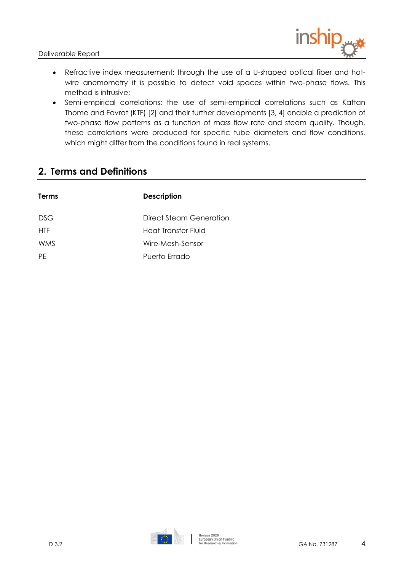Deliverable Report



- Refractive index measurement: through the use of a U-shaped optical fiber and hotwire anemometry it is possible to detect void spaces within two-phase flows. This method is intrusive;
- Semi-empirical correlations: the use of semi-empirical correlations such as Kattan Thome and Favrat (KTF) [2] and their further developments [3, 4] enable a prediction of two-phase flow patterns as a function of mass flow rate and steam quality. Though, these correlations were produced for specific tube diameters and flow conditions, which might differ from the conditions found in real systems.

## <span id="page-3-0"></span>**2. Terms and Definitions**

| <b>Terms</b> | <b>Description</b>      |
|--------------|-------------------------|
| DSG.         | Direct Steam Generation |
| <b>HTF</b>   | Heat Transfer Fluid     |
| WMS          | Wire-Mesh-Sensor        |
| <b>PF</b>    | Puerto Frrado           |
|              |                         |

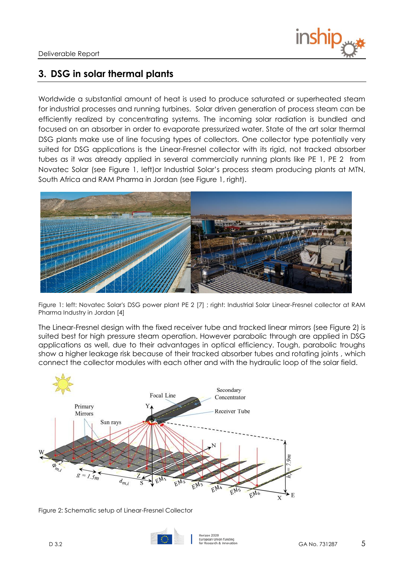

## <span id="page-4-0"></span>**3. DSG in solar thermal plants**

Worldwide a substantial amount of heat is used to produce saturated or superheated steam for industrial processes and running turbines. Solar driven generation of process steam can be efficiently realized by concentrating systems. The incoming solar radiation is bundled and focused on an absorber in order to evaporate pressurized water. State of the art solar thermal DSG plants make use of line focusing types of collectors. One collector type potentially very suited for DSG applications is the Linear-Fresnel collector with its rigid, not tracked absorber tubes as it was already applied in several commercially running plants like PE 1, PE 2 from Novatec Solar (see [Figure 1,](#page-4-1) left)or Industrial Solar's process steam producing plants at MTN, South Africa and RAM Pharma in Jordan (see [Figure 1,](#page-4-1) right).



Figure 1: left: Novatec Solar's DSG power plant PE 2 [\[7\]](#page-14-1) ; right: Industrial Solar Linear-Fresnel collector at RAM Pharma Industry in Jordan [\[4\]](#page-14-2)

<span id="page-4-1"></span>The Linear-Fresnel design with the fixed receiver tube and tracked linear mirrors (see [Figure 2\)](#page-4-2) is suited best for high pressure steam operation. However parabolic through are applied in DSG applications as well, due to their advantages in optical efficiency. Tough, parabolic troughs show a higher leakage risk because of their tracked absorber tubes and rotating joints , which connect the collector modules with each other and with the hydraulic loop of the solar field.



<span id="page-4-2"></span>Figure 2: Schematic setup of Linear-Fresnel Collector

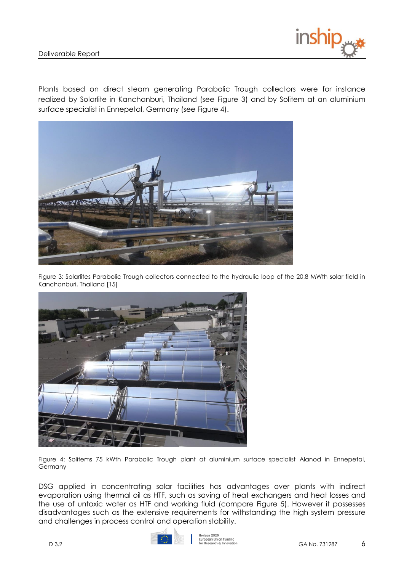Plants based on direct steam generating Parabolic Trough collectors were for instance realized by Solarlite in Kanchanburi, Thailand (see [Figure 3\)](#page-5-0) and by Solitem at an aluminium surface specialist in Ennepetal, Germany (see [Figure 4\)](#page-5-1).



<span id="page-5-0"></span>Figure 3: Solarlites Parabolic Trough collectors connected to the hydraulic loop of the 20,8 MWth solar field in Kanchanburi, Thailand [\[15\]](#page-14-3)



<span id="page-5-1"></span>Figure 4: Solitems 75 kWth Parabolic Trough plant at aluminium surface specialist Alanod in Ennepetal, Germany

DSG applied in concentrating solar facilities has advantages over plants with indirect evaporation using thermal oil as HTF, such as saving of heat exchangers and heat losses and the use of untoxic water as HTF and working fluid (compare [Figure 5\)](#page-6-0). However it possesses disadvantages such as the extensive requirements for withstanding the high system pressure and challenges in process control and operation stability.

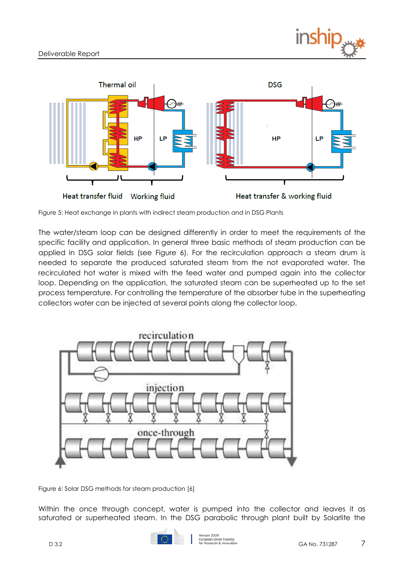



<span id="page-6-0"></span>Figure 5: Heat exchange in plants with indirect steam production and in DSG Plants

The water/steam loop can be designed differently in order to meet the requirements of the specific facility and application. In general three basic methods of steam production can be applied in DSG solar fields (see [Figure 6\)](#page-6-1). For the recirculation approach a steam drum is needed to separate the produced saturated steam from the not evaporated water. The recirculated hot water is mixed with the feed water and pumped again into the collector loop. Depending on the application, the saturated steam can be superheated up to the set process temperature. For controlling the temperature of the absorber tube in the superheating collectors water can be injected at several points along the collector loop.



<span id="page-6-1"></span>Figure 6: Solar DSG methods for steam productio[n \[6\]](#page-14-4)

Within the once through concept, water is pumped into the collector and leaves it as saturated or superheated steam. In the DSG parabolic through plant built by Solarlite the

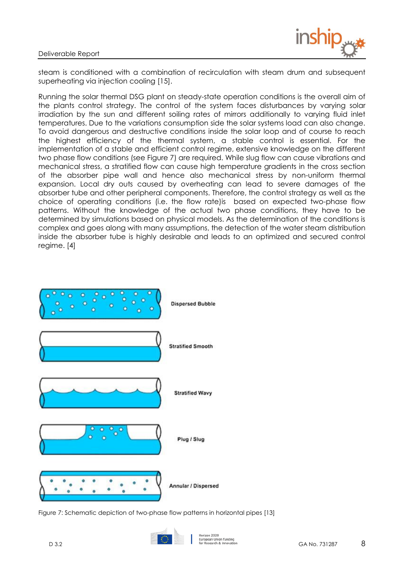

steam is conditioned with a combination of recirculation with steam drum and subsequent superheating via injection cooling [\[15\].](#page-14-3)

Running the solar thermal DSG plant on steady-state operation conditions is the overall aim of the plants control strategy. The control of the system faces disturbances by varying solar irradiation by the sun and different soiling rates of mirrors additionally to varying fluid inlet temperatures. Due to the variations consumption side the solar systems load can also change. To avoid dangerous and destructive conditions inside the solar loop and of course to reach the highest efficiency of the thermal system, a stable control is essential. For the implementation of a stable and efficient control regime, extensive knowledge on the different two phase flow conditions (see [Figure 7\)](#page-7-0) are required. While slug flow can cause vibrations and mechanical stress, a stratified flow can cause high temperature gradients in the cross section of the absorber pipe wall and hence also mechanical stress by non-uniform thermal expansion. Local dry outs caused by overheating can lead to severe damages of the absorber tube and other peripheral components. Therefore, the control strategy as well as the choice of operating conditions (i.e. the flow rate)is based on expected two-phase flow patterns. Without the knowledge of the actual two phase conditions, they have to be determined by simulations based on physical models. As the determination of the conditions is complex and goes along with many assumptions, the detection of the water steam distribution inside the absorber tube is highly desirable and leads to an optimized and secured control regime. [\[4\]](#page-14-2)



<span id="page-7-0"></span>Figure 7: Schematic depiction of two-phase flow patterns in horizontal pipes [\[13\]](#page-14-5)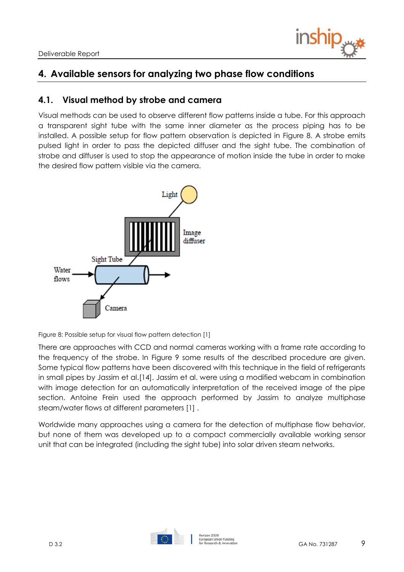

# <span id="page-8-0"></span>**4. Available sensors for analyzing two phase flow conditions**

### <span id="page-8-1"></span>**4.1. Visual method by strobe and camera**

Visual methods can be used to observe different flow patterns inside a tube. For this approach a transparent sight tube with the same inner diameter as the process piping has to be installed. A possible setup for flow pattern observation is depicted in [Figure 8.](#page-8-2) A strobe emits pulsed light in order to pass the depicted diffuser and the sight tube. The combination of strobe and diffuser is used to stop the appearance of motion inside the tube in order to make the desired flow pattern visible via the camera.



<span id="page-8-2"></span>Figure 8: Possible setup for visual flow pattern detection [\[1\]](#page-14-6)

There are approaches with CCD and normal cameras working with a frame rate according to the frequency of the strobe. In [Figure 9](#page-9-1) some results of the described procedure are given. Some typical flow patterns have been discovered with this technique in the field of refrigerants in small pipes by Jassim et al[.\[14\].](#page-14-7) Jassim et al. were using a modified webcam in combination with image detection for an automatically interpretation of the received image of the pipe section. Antoine Frein used the approach performed by Jassim to analyze multiphase steam/water flows at different parameters [\[1\]](#page-14-6) .

Worldwide many approaches using a camera for the detection of multiphase flow behavior, but none of them was developed up to a compact commercially available working sensor unit that can be integrated (including the sight tube) into solar driven steam networks.

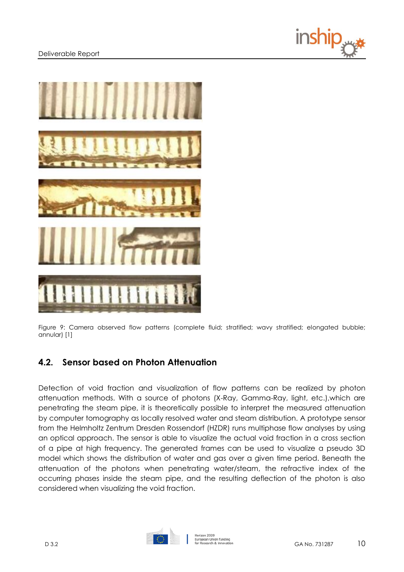#### Deliverable Report





<span id="page-9-1"></span>Figure 9: Camera observed flow patterns (complete fluid; stratified; wavy stratified; elongated bubble; annular) [\[1\]](#page-14-6)

### <span id="page-9-0"></span>**4.2. Sensor based on Photon Attenuation**

Detection of void fraction and visualization of flow patterns can be realized by photon attenuation methods. With a source of photons (X-Ray, Gamma-Ray, light, etc.),which are penetrating the steam pipe, it is theoretically possible to interpret the measured attenuation by computer tomography as locally resolved water and steam distribution. A prototype sensor from the Helmholtz Zentrum Dresden Rossendorf (HZDR) runs multiphase flow analyses by using an optical approach. The sensor is able to visualize the actual void fraction in a cross section of a pipe at high frequency. The generated frames can be used to visualize a pseudo 3D model which shows the distribution of water and gas over a given time period. Beneath the attenuation of the photons when penetrating water/steam, the refractive index of the occurring phases inside the steam pipe, and the resulting deflection of the photon is also considered when visualizing the void fraction.

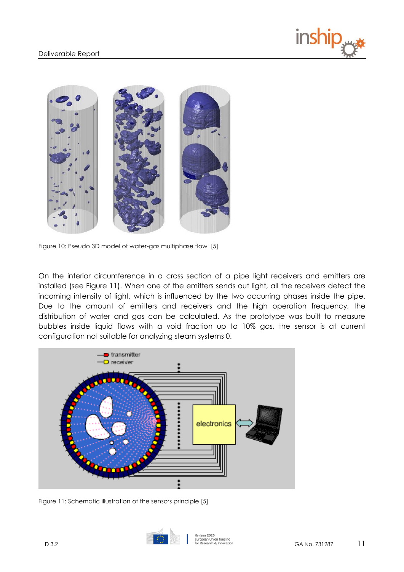



Figure 10: Pseudo 3D model of water-gas multiphase flow [\[5\]](#page-14-8)

On the interior circumference in a cross section of a pipe light receivers and emitters are installed (see [Figure 11\)](#page-10-0). When one of the emitters sends out light, all the receivers detect the incoming intensity of light, which is influenced by the two occurring phases inside the pipe. Due to the amount of emitters and receivers and the high operation frequency, the distribution of water and gas can be calculated. As the prototype was built to measure bubbles inside liquid flows with a void fraction up to 10% gas, the sensor is at current configuration not suitable for analyzing steam systems [0.](#page-14-9)



<span id="page-10-0"></span>Figure 11: Schematic illustration of the sensors principle [\[5\]](#page-14-8)

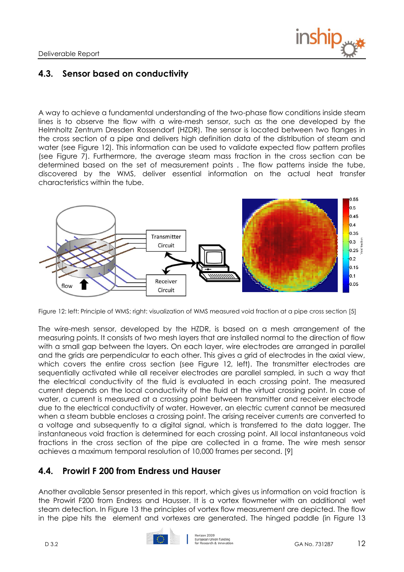

### <span id="page-11-0"></span>**4.3. Sensor based on conductivity**

A way to achieve a fundamental understanding of the two-phase flow conditions inside steam lines is to observe the flow with a wire-mesh sensor, such as the one developed by the Helmholtz Zentrum Dresden Rossendorf (HZDR). The sensor is located between two flanges in the cross section of a pipe and delivers high definition data of the distribution of steam and water (see [Figure 12\)](#page-11-2). This information can be used to validate expected flow pattern profiles (see [Figure 7\)](#page-7-0). Furthermore, the average steam mass fraction in the cross section can be determined based on the set of measurement points . The flow patterns inside the tube, discovered by the WMS, deliver essential information on the actual heat transfer characteristics within the tube.



<span id="page-11-2"></span>Figure 12: left: Principle of WMS; right: visualization of WMS measured void fraction at a pipe cross section [\[5\]](#page-14-8)

The wire-mesh sensor, developed by the HZDR, is based on a mesh arrangement of the measuring points. It consists of two mesh layers that are installed normal to the direction of flow with a small gap between the layers. On each layer, wire electrodes are arranged in parallel and the grids are perpendicular to each other. This gives a grid of electrodes in the axial view, which covers the entire cross section (see [Figure 12,](#page-11-2) left). The transmitter electrodes are sequentially activated while all receiver electrodes are parallel sampled, in such a way that the electrical conductivity of the fluid is evaluated in each crossing point. The measured current depends on the local conductivity of the fluid at the virtual crossing point. In case of water, a current is measured at a crossing point between transmitter and receiver electrode due to the electrical conductivity of water. However, an electric current cannot be measured when a steam bubble encloses a crossing point. The arising receiver currents are converted to a voltage and subsequently to a digital signal, which is transferred to the data logger. The instantaneous void fraction is determined for each crossing point. All local instantaneous void fractions in the cross section of the pipe are collected in a frame. The wire mesh sensor achieves a maximum temporal resolution of 10,000 frames per second. [\[9\]](#page-14-10)

### <span id="page-11-1"></span>**4.4. Prowirl F 200 from Endress und Hauser**

Another available Sensor presented in this report, which gives us information on void fraction is the Prowirl F200 from Endress and Hausser. It is a vortex flowmeter with an additional wet steam detection. In [Figure 13](#page-12-1) the principles of vortex flow measurement are depicted. The flow in the pipe hits the element and vortexes are generated. The hinged paddle (in [Figure 13](#page-12-1)

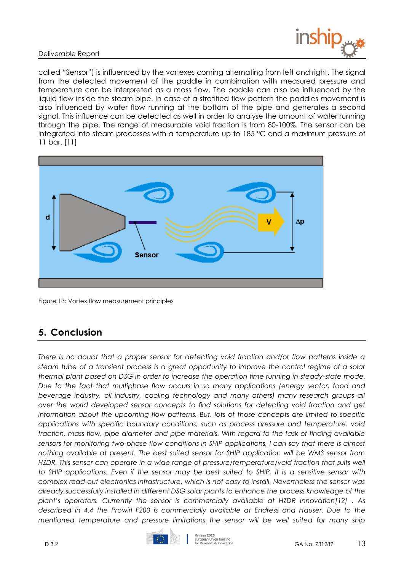#### Deliverable Report



called "Sensor") is influenced by the vortexes coming alternating from left and right. The signal from the detected movement of the paddle in combination with measured pressure and temperature can be interpreted as a mass flow. The paddle can also be influenced by the liquid flow inside the steam pipe. In case of a stratified flow pattern the paddles movement is also influenced by water flow running at the bottom of the pipe and generates a second signal. This influence can be detected as well in order to analyse the amount of water running through the pipe. The range of measurable void fraction is from 80-100%. The sensor can be integrated into steam processes with a temperature up to 185 °C and a maximum pressure of 11 bar. [\[11\]](#page-14-11) 



<span id="page-12-1"></span>Figure 13: Vortex flow measurement principles

## <span id="page-12-0"></span>**5. Conclusion**

*There is no doubt that a proper sensor for detecting void fraction and/or flow patterns inside a steam tube of a transient process is a great opportunity to improve the control regime of a solar thermal plant based on DSG in order to increase the operation time running in steady-state mode. Due to the fact that multiphase flow occurs in so many applications (energy sector, food and*  beverage industry, oil industry, cooling technology and many others) many research groups all *over the world developed sensor concepts to find solutions for detecting void fraction and get information about the upcoming flow patterns. But, lots of those concepts are limited to specific applications with specific boundary conditions, such as process pressure and temperature, void fraction, mass flow, pipe diameter and pipe materials. With regard to the task of finding available sensors for monitoring two-phase flow conditions in SHIP applications, I can say that there is almost nothing available at present. The best suited sensor for SHIP application will be WMS sensor from HZDR. This sensor can operate in a wide range of pressure/temperature/void fraction that suits well to SHIP applications. Even if the sensor may be best suited to SHIP, it is a sensitive sensor with complex read-out electronics infrastructure, which is not easy to install. Nevertheless the sensor was already successfully installed in different DSG solar plants to enhance the process knowledge of the plant's operators. Currently the sensor is commercially available at HZDR Innovatio[n\[12\]](#page-14-12) . As described in [4.4](#page-11-1) the Prowirl F200 is commercially available at Endress and Hauser. Due to the mentioned temperature and pressure limitations the sensor will be well suited for many ship* 



Horizon 2020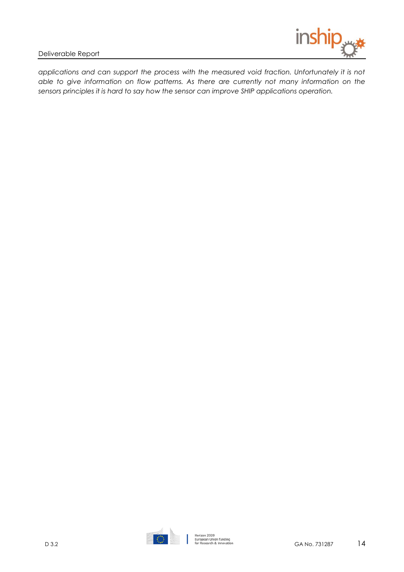

applications and can support the process with the measured void fraction. Unfortunately it is not *able to give information on flow patterns. As there are currently not many information on the sensors principles it is hard to say how the sensor can improve SHIP applications operation.*